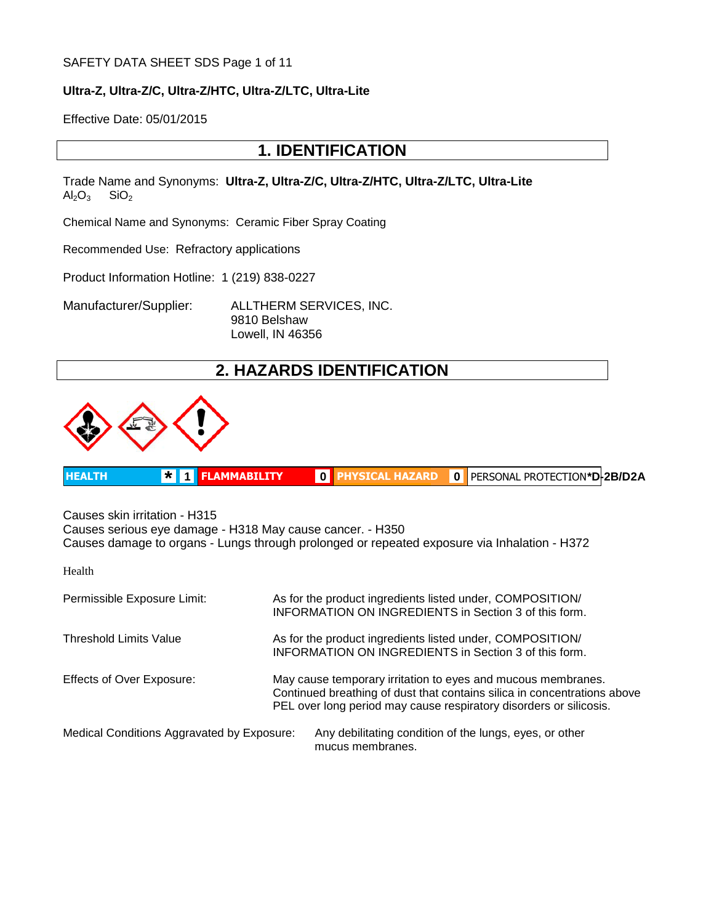#### SAFETY DATA SHEET SDS Page 1 of 11

#### **Ultra-Z, Ultra-Z/C, Ultra-Z/HTC, Ultra-Z/LTC, Ultra-Lite**

Effective Date: 05/01/2015

### **1. IDENTIFICATION**

Trade Name and Synonyms: **Ultra-Z, Ultra-Z/C, Ultra-Z/HTC, Ultra-Z/LTC, Ultra-Lite**  $Al_2O_3$  SiO<sub>2</sub>

Chemical Name and Synonyms: Ceramic Fiber Spray Coating

Recommended Use: Refractory applications

Product Information Hotline: 1 (219) 838-0227

Manufacturer/Supplier: ALLTHERM SERVICES, INC.

9810 Belshaw Lowell, IN 46356

# **2. HAZARDS IDENTIFICATION**



|  | <b>HEALTH</b> | <b>*</b> 1 FLAMMABILITY | OD. |  | 0   PERSONAL PROTECTION*D-2B/D2A |  |
|--|---------------|-------------------------|-----|--|----------------------------------|--|
|--|---------------|-------------------------|-----|--|----------------------------------|--|

Causes skin irritation - H315 Causes serious eye damage - H318 May cause cancer. - H350 Causes damage to organs - Lungs through prolonged or repeated exposure via Inhalation - H372

Health

| Permissible Exposure Limit:                | As for the product ingredients listed under, COMPOSITION/<br><b>INFORMATION ON INGREDIENTS in Section 3 of this form.</b>                                                                                      |
|--------------------------------------------|----------------------------------------------------------------------------------------------------------------------------------------------------------------------------------------------------------------|
| <b>Threshold Limits Value</b>              | As for the product ingredients listed under, COMPOSITION/<br>INFORMATION ON INGREDIENTS in Section 3 of this form.                                                                                             |
| <b>Effects of Over Exposure:</b>           | May cause temporary irritation to eyes and mucous membranes.<br>Continued breathing of dust that contains silica in concentrations above<br>PEL over long period may cause respiratory disorders or silicosis. |
| Medical Conditions Aggravated by Exposure: | Any debilitating condition of the lungs, eyes, or other<br>mucus membranes.                                                                                                                                    |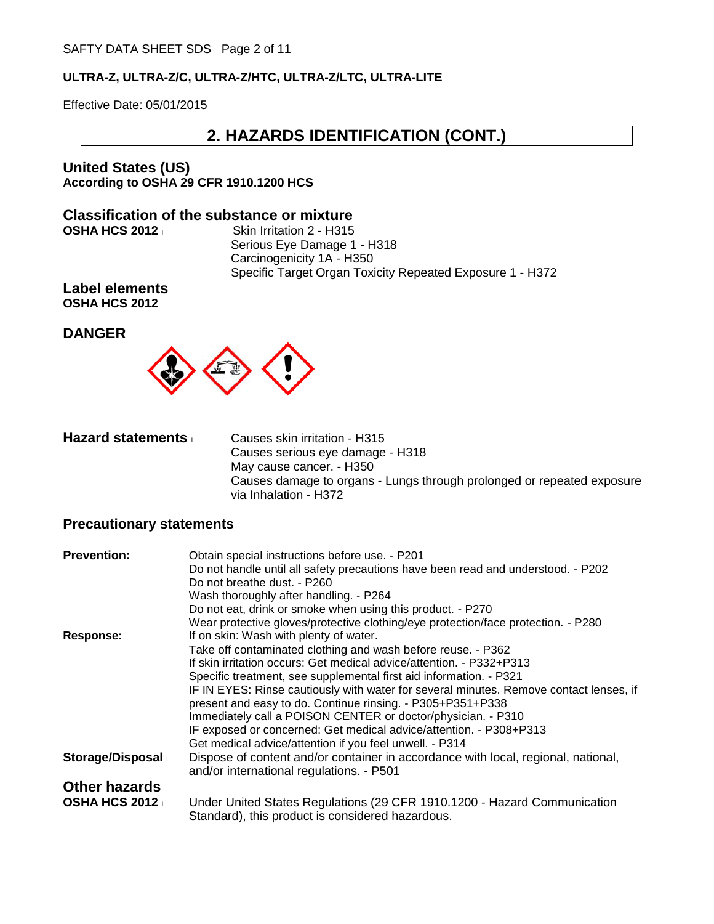Effective Date: 05/01/2015

### **2. HAZARDS IDENTIFICATION (CONT.)**

**United States (US) According to OSHA 29 CFR 1910.1200 HCS**

# **Classification of the substance or mixture OSHA HCS 2012**

**Skin Irritation 2 - H315** Serious Eye Damage 1 - H318 Carcinogenicity 1A - H350 Specific Target Organ Toxicity Repeated Exposure 1 - H372

**Label elements OSHA HCS 2012**

### **DANGER**



| <b>Hazard statements</b> | Causes skin irritation - H315                                                                   |
|--------------------------|-------------------------------------------------------------------------------------------------|
|                          | Causes serious eye damage - H318                                                                |
|                          | May cause cancer. - H350                                                                        |
|                          | Causes damage to organs - Lungs through prolonged or repeated exposure<br>via Inhalation - H372 |

### **Precautionary statements**

| <b>Prevention:</b>   | Obtain special instructions before use. - P201                                         |
|----------------------|----------------------------------------------------------------------------------------|
|                      | Do not handle until all safety precautions have been read and understood. - P202       |
|                      | Do not breathe dust. - P260                                                            |
|                      | Wash thoroughly after handling. - P264                                                 |
|                      | Do not eat, drink or smoke when using this product. - P270                             |
|                      | Wear protective gloves/protective clothing/eye protection/face protection. - P280      |
| <b>Response:</b>     | If on skin: Wash with plenty of water.                                                 |
|                      | Take off contaminated clothing and wash before reuse. - P362                           |
|                      | If skin irritation occurs: Get medical advice/attention. - P332+P313                   |
|                      | Specific treatment, see supplemental first aid information. - P321                     |
|                      | IF IN EYES: Rinse cautiously with water for several minutes. Remove contact lenses, if |
|                      | present and easy to do. Continue rinsing. - P305+P351+P338                             |
|                      | Immediately call a POISON CENTER or doctor/physician. - P310                           |
|                      | IF exposed or concerned: Get medical advice/attention. - P308+P313                     |
|                      | Get medical advice/attention if you feel unwell. - P314                                |
| Storage/Disposal     | Dispose of content and/or container in accordance with local, regional, national,      |
|                      | and/or international regulations. - P501                                               |
| <b>Other hazards</b> |                                                                                        |
| <b>OSHA HCS 2012</b> | Under United States Regulations (29 CFR 1910.1200 - Hazard Communication               |
|                      | Standard), this product is considered hazardous.                                       |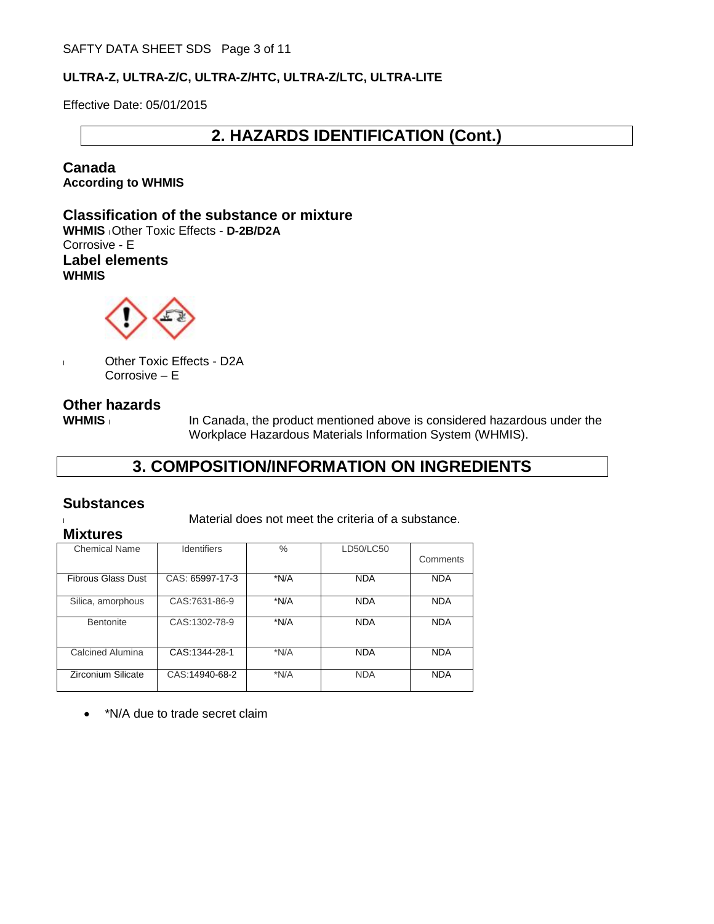Effective Date: 05/01/2015

# **2. HAZARDS IDENTIFICATION (Cont.)**

**Canada According to WHMIS**

**Classification of the substance or mixture WHMIS** l Other Toxic Effects - **D-2B/D2A** Corrosive - E **Label elements WHMIS**



l Other Toxic Effects - D2A Corrosive – E

### **Other hazards**

**WHMIS** In Canada, the product mentioned above is considered hazardous under the Workplace Hazardous Materials Information System (WHMIS).

# **3. COMPOSITION/INFORMATION ON INGREDIENTS**

### **Substances**

laterial does not meet the criteria of a substance.

| <b>Mixtures</b> |
|-----------------|
| Chamisal Nama   |

| <b>Chemical Name</b>      | <b>Identifiers</b> | $\%$ | LD50/LC50  | Comments   |
|---------------------------|--------------------|------|------------|------------|
| <b>Fibrous Glass Dust</b> | CAS: 65997-17-3    | *N/A | <b>NDA</b> | <b>NDA</b> |
| Silica, amorphous         | CAS:7631-86-9      | *N/A | <b>NDA</b> | <b>NDA</b> |
| Bentonite                 | CAS:1302-78-9      | *N/A | <b>NDA</b> | <b>NDA</b> |
| Calcined Alumina          | CAS:1344-28-1      | *N/A | <b>NDA</b> | <b>NDA</b> |
| Zirconium Silicate        | CAS:14940-68-2     | *N/A | <b>NDA</b> | <b>NDA</b> |

• \*N/A due to trade secret claim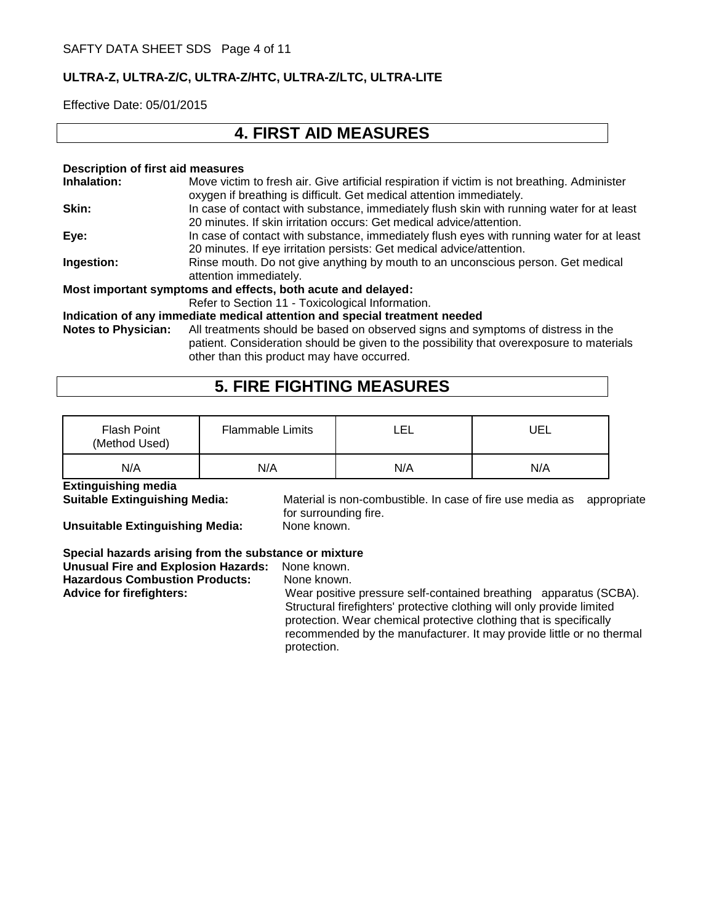Effective Date: 05/01/2015

# **4. FIRST AID MEASURES**

#### **Description of first aid measures Inhalation:** Move victim to fresh air. Give artificial respiration if victim is not breathing. Administer oxygen if breathing is difficult. Get medical attention immediately. **Skin:** In case of contact with substance, immediately flush skin with running water for at least 20 minutes. If skin irritation occurs: Get medical advice/attention. **Eye:** In case of contact with substance, immediately flush eyes with running water for at least 20 minutes. If eye irritation persists: Get medical advice/attention. **Ingestion:** Rinse mouth. Do not give anything by mouth to an unconscious person. Get medical attention immediately. **Most important symptoms and effects, both acute and delayed:** Refer to Section 11 - Toxicological Information. **Indication of any immediate medical attention and special treatment needed Notes to Physician:** All treatments should be based on observed signs and symptoms of distress in the patient. Consideration should be given to the possibility that overexposure to materials other than this product may have occurred.

# **5. FIRE FIGHTING MEASURES**

| <b>Flash Point</b><br>(Method Used) | <b>Flammable Limits</b> | LEL | UEL |
|-------------------------------------|-------------------------|-----|-----|
| N/A                                 | N/A                     | N/A | N/A |

#### **Extinguishing media**

**Unsuitable Extinguishing Media:** 

**Suitable Extinguishing Media:** Material is non-combustible. In case of fire use media as appropriate for surrounding fire.<br>None known.

**Special hazards arising from the substance or mixture**

**Unusual Fire and Explosion Hazards:** None known. **Hazardous Combustion Products:** None known.

Advice for firefighters: **Wear positive pressure self-contained breathing** apparatus (SCBA). Structural firefighters' protective clothing will only provide limited protection. Wear chemical protective clothing that is specifically recommended by the manufacturer. It may provide little or no thermal protection.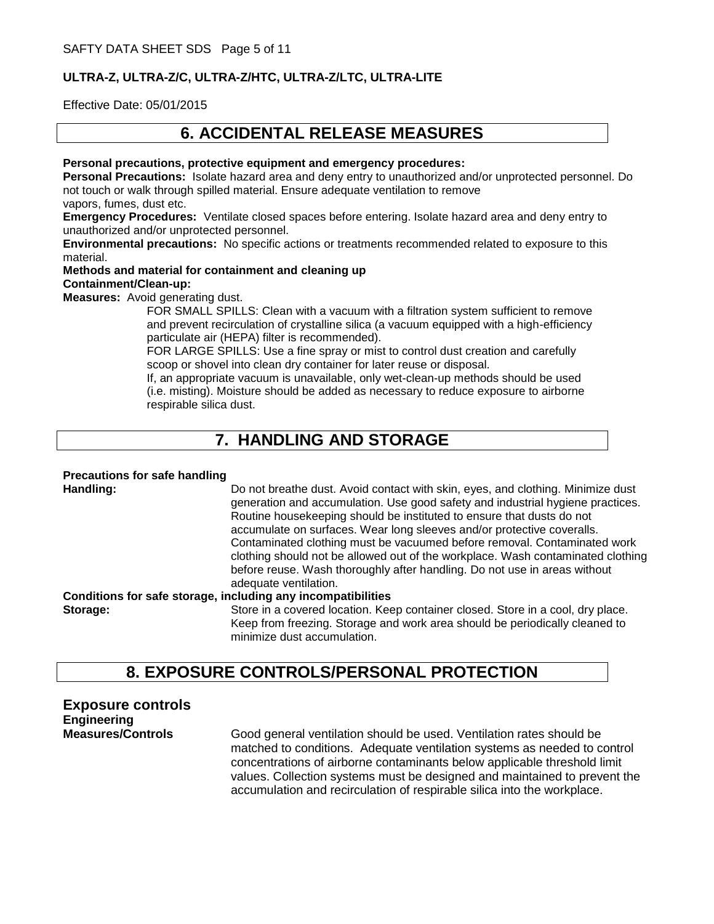Effective Date: 05/01/2015

# **6. ACCIDENTAL RELEASE MEASURES**

**Personal precautions, protective equipment and emergency procedures:**

**Personal Precautions:** Isolate hazard area and deny entry to unauthorized and/or unprotected personnel. Do not touch or walk through spilled material. Ensure adequate ventilation to remove vapors, fumes, dust etc.

**Emergency Procedures:** Ventilate closed spaces before entering. Isolate hazard area and deny entry to unauthorized and/or unprotected personnel.

**Environmental precautions:** No specific actions or treatments recommended related to exposure to this material.

#### **Methods and material for containment and cleaning up Containment/Clean-up:**

**Measures:** Avoid generating dust.

FOR SMALL SPILLS: Clean with a vacuum with a filtration system sufficient to remove and prevent recirculation of crystalline silica (a vacuum equipped with a high-efficiency particulate air (HEPA) filter is recommended).

FOR LARGE SPILLS: Use a fine spray or mist to control dust creation and carefully scoop or shovel into clean dry container for later reuse or disposal.

If, an appropriate vacuum is unavailable, only wet-clean-up methods should be used (i.e. misting). Moisture should be added as necessary to reduce exposure to airborne respirable silica dust.

# **7. HANDLING AND STORAGE**

### **Precautions for safe handling**

**Handling:** Do not breathe dust. Avoid contact with skin, eyes, and clothing. Minimize dust generation and accumulation. Use good safety and industrial hygiene practices. Routine housekeeping should be instituted to ensure that dusts do not accumulate on surfaces. Wear long sleeves and/or protective coveralls. Contaminated clothing must be vacuumed before removal. Contaminated work clothing should not be allowed out of the workplace. Wash contaminated clothing before reuse. Wash thoroughly after handling. Do not use in areas without adequate ventilation.

**Conditions for safe storage, including any incompatibilities**

**Storage:** Store in a covered location. Keep container closed. Store in a cool, dry place. Keep from freezing. Storage and work area should be periodically cleaned to minimize dust accumulation.

# **8. EXPOSURE CONTROLS/PERSONAL PROTECTION**

**Exposure controls Engineering**

**Measures/Controls** Good general ventilation should be used. Ventilation rates should be matched to conditions. Adequate ventilation systems as needed to control concentrations of airborne contaminants below applicable threshold limit values. Collection systems must be designed and maintained to prevent the accumulation and recirculation of respirable silica into the workplace.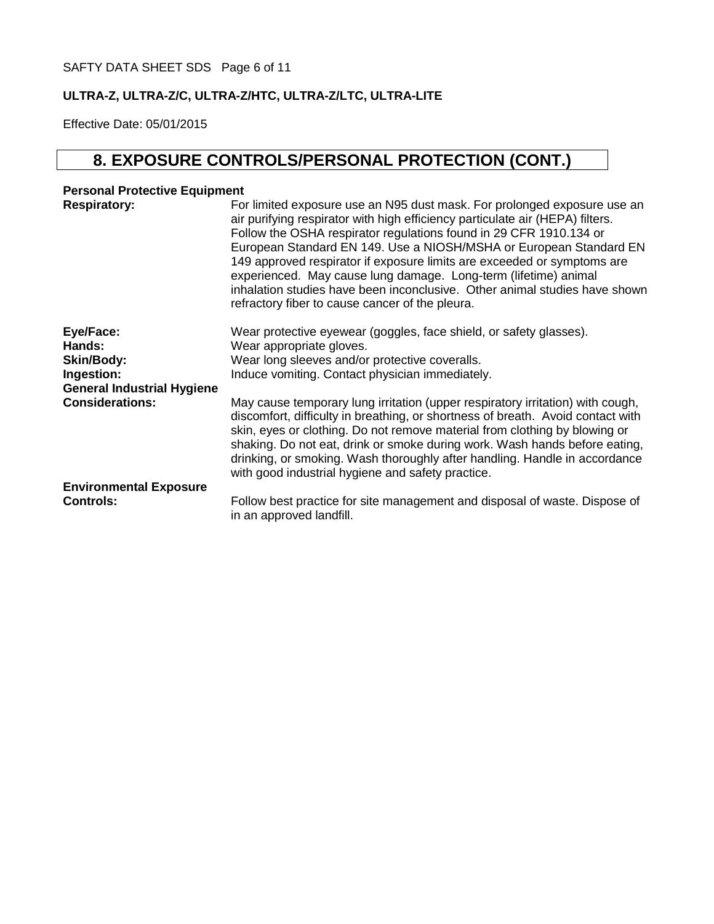Effective Date: 05/01/2015

# **8. EXPOSURE CONTROLS/PERSONAL PROTECTION (CONT.)**

### **Personal Protective Equipment**

| <b>Respiratory:</b>                                                                         | For limited exposure use an N95 dust mask. For prolonged exposure use an<br>air purifying respirator with high efficiency particulate air (HEPA) filters.<br>Follow the OSHA respirator regulations found in 29 CFR 1910.134 or<br>European Standard EN 149. Use a NIOSH/MSHA or European Standard EN<br>149 approved respirator if exposure limits are exceeded or symptoms are<br>experienced. May cause lung damage. Long-term (lifetime) animal<br>inhalation studies have been inconclusive. Other animal studies have shown<br>refractory fiber to cause cancer of the pleura. |
|---------------------------------------------------------------------------------------------|--------------------------------------------------------------------------------------------------------------------------------------------------------------------------------------------------------------------------------------------------------------------------------------------------------------------------------------------------------------------------------------------------------------------------------------------------------------------------------------------------------------------------------------------------------------------------------------|
| Eye/Face:<br>Hands:<br><b>Skin/Body:</b><br>Ingestion:<br><b>General Industrial Hygiene</b> | Wear protective eyewear (goggles, face shield, or safety glasses).<br>Wear appropriate gloves.<br>Wear long sleeves and/or protective coveralls.<br>Induce vomiting. Contact physician immediately.                                                                                                                                                                                                                                                                                                                                                                                  |
| <b>Considerations:</b>                                                                      | May cause temporary lung irritation (upper respiratory irritation) with cough,<br>discomfort, difficulty in breathing, or shortness of breath. Avoid contact with<br>skin, eyes or clothing. Do not remove material from clothing by blowing or<br>shaking. Do not eat, drink or smoke during work. Wash hands before eating,<br>drinking, or smoking. Wash thoroughly after handling. Handle in accordance<br>with good industrial hygiene and safety practice.                                                                                                                     |
| <b>Environmental Exposure</b><br><b>Controls:</b>                                           | Follow best practice for site management and disposal of waste. Dispose of<br>in an approved landfill.                                                                                                                                                                                                                                                                                                                                                                                                                                                                               |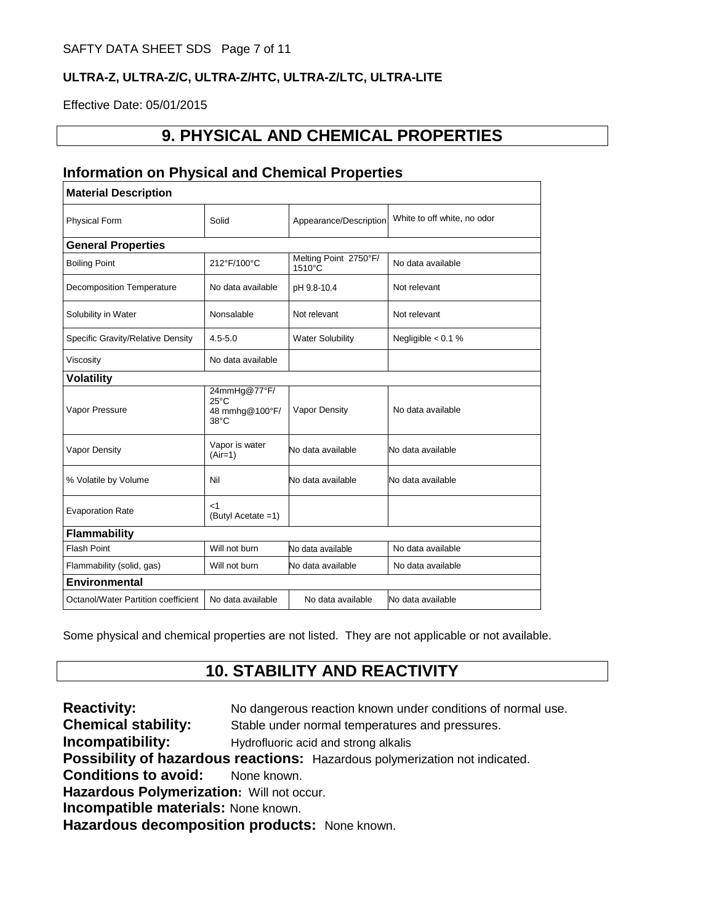Effective Date: 05/01/2015

# **9. PHYSICAL AND CHEMICAL PROPERTIES**

### **Information on Physical and Chemical Properties**

| <b>Material Description</b>         |                                                                    |                                 |                             |  |
|-------------------------------------|--------------------------------------------------------------------|---------------------------------|-----------------------------|--|
| <b>Physical Form</b>                | Solid                                                              | Appearance/Description          | White to off white, no odor |  |
| <b>General Properties</b>           |                                                                    |                                 |                             |  |
| <b>Boiling Point</b>                | 212°F/100°C                                                        | Melting Point 2750°F/<br>1510°C | No data available           |  |
| <b>Decomposition Temperature</b>    | No data available                                                  | pH 9.8-10.4                     | Not relevant                |  |
| Solubility in Water                 | Nonsalable                                                         | Not relevant                    | Not relevant                |  |
| Specific Gravity/Relative Density   | $4.5 - 5.0$                                                        | <b>Water Solubility</b>         | Negligible $< 0.1 %$        |  |
| Viscosity                           | No data available                                                  |                                 |                             |  |
| <b>Volatility</b>                   |                                                                    |                                 |                             |  |
| Vapor Pressure                      | 24mmHg@77°F/<br>$25^{\circ}$ C<br>48 mmhg@100°F/<br>$38^{\circ}$ C | Vapor Density                   | No data available           |  |
| <b>Vapor Density</b>                | Vapor is water<br>$(Air=1)$                                        | No data available               | No data available           |  |
| % Volatile by Volume                | Nil                                                                | No data available               | No data available           |  |
| <b>Evaporation Rate</b>             | $<$ 1<br>(Butyl Acetate =1)                                        |                                 |                             |  |
| Flammability                        |                                                                    |                                 |                             |  |
| <b>Flash Point</b>                  | Will not burn                                                      | No data available               | No data available           |  |
| Flammability (solid, gas)           | Will not burn                                                      | No data available               | No data available           |  |
| <b>Environmental</b>                |                                                                    |                                 |                             |  |
| Octanol/Water Partition coefficient | No data available                                                  | No data available               | No data available           |  |

Some physical and chemical properties are not listed. They are not applicable or not available.

# **10. STABILITY AND REACTIVITY**

**Reactivity:** No dangerous reaction known under conditions of normal use. **Chemical stability:** Stable under normal temperatures and pressures. **Incompatibility:** Hydrofluoric acid and strong alkalis **Possibility of hazardous reactions:** Hazardous polymerization not indicated. **Conditions to avoid:** None known. **Hazardous Polymerization:** Will not occur. **Incompatible materials:** None known. **Hazardous decomposition products:** None known.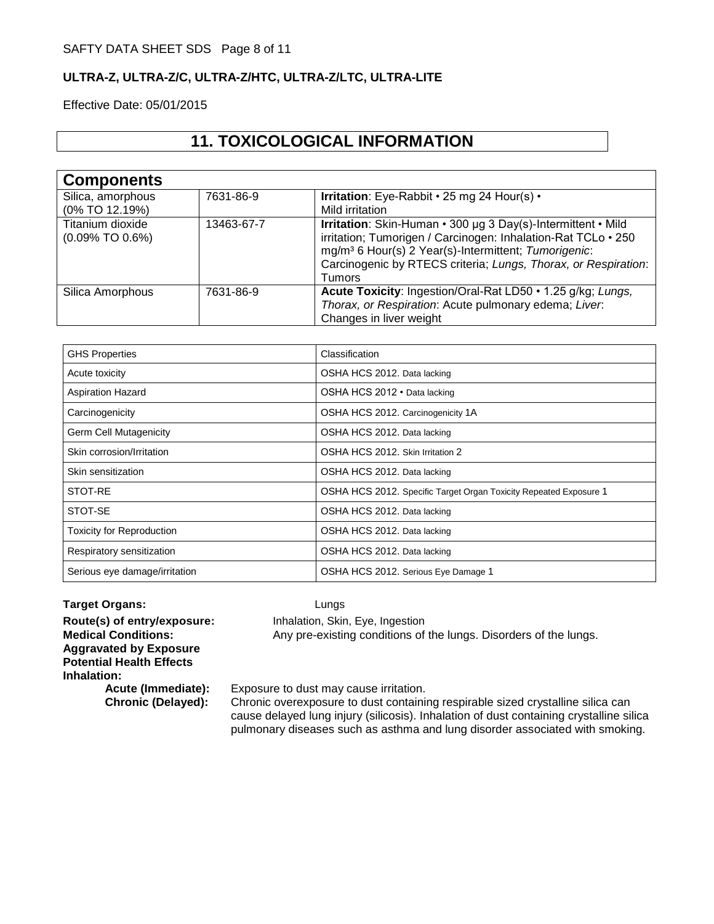Effective Date: 05/01/2015

# **11. TOXICOLOGICAL INFORMATION**

| <b>Components</b>     |            |                                                                  |
|-----------------------|------------|------------------------------------------------------------------|
| Silica, amorphous     | 7631-86-9  | Irritation: Eye-Rabbit • 25 mg 24 Hour(s) •                      |
| (0% TO 12.19%)        |            | Mild irritation                                                  |
| Titanium dioxide      | 13463-67-7 | Irritation: Skin-Human • 300 µg 3 Day(s)-Intermittent • Mild     |
| $(0.09\%$ TO $0.6\%)$ |            | irritation; Tumorigen / Carcinogen: Inhalation-Rat TCLo · 250    |
|                       |            | mg/m <sup>3</sup> 6 Hour(s) 2 Year(s)-Intermittent; Tumorigenic: |
|                       |            | Carcinogenic by RTECS criteria; Lungs, Thorax, or Respiration:   |
|                       |            | Tumors                                                           |
| Silica Amorphous      | 7631-86-9  | Acute Toxicity: Ingestion/Oral-Rat LD50 • 1.25 g/kg; Lungs,      |
|                       |            | Thorax, or Respiration: Acute pulmonary edema; Liver.            |
|                       |            | Changes in liver weight                                          |

| <b>GHS Properties</b>            | Classification                                                    |
|----------------------------------|-------------------------------------------------------------------|
| Acute toxicity                   | OSHA HCS 2012. Data lacking                                       |
| <b>Aspiration Hazard</b>         | OSHA HCS 2012 · Data lacking                                      |
| Carcinogenicity                  | OSHA HCS 2012. Carcinogenicity 1A                                 |
| Germ Cell Mutagenicity           | OSHA HCS 2012. Data lacking                                       |
| Skin corrosion/Irritation        | OSHA HCS 2012. Skin Irritation 2                                  |
| Skin sensitization               | OSHA HCS 2012. Data lacking                                       |
| STOT-RE                          | OSHA HCS 2012. Specific Target Organ Toxicity Repeated Exposure 1 |
| STOT-SE                          | OSHA HCS 2012. Data lacking                                       |
| <b>Toxicity for Reproduction</b> | OSHA HCS 2012. Data lacking                                       |
| Respiratory sensitization        | OSHA HCS 2012. Data lacking                                       |
| Serious eye damage/irritation    | OSHA HCS 2012. Serious Eye Damage 1                               |

**Target Organs:** Lungs **Route(s) of entry/exposure:** Inhalation, Skin, Eye, Ingestion **Medical Conditions:** Any pre-existing conditions of the lungs. Disorders of the lungs. **Aggravated by Exposure Potential Health Effects Inhalation:** Exposure to dust may cause irritation.

**Chronic (Delayed):** Chronic overexposure to dust containing respirable sized crystalline silica can cause delayed lung injury (silicosis). Inhalation of dust containing crystalline silica pulmonary diseases such as asthma and lung disorder associated with smoking.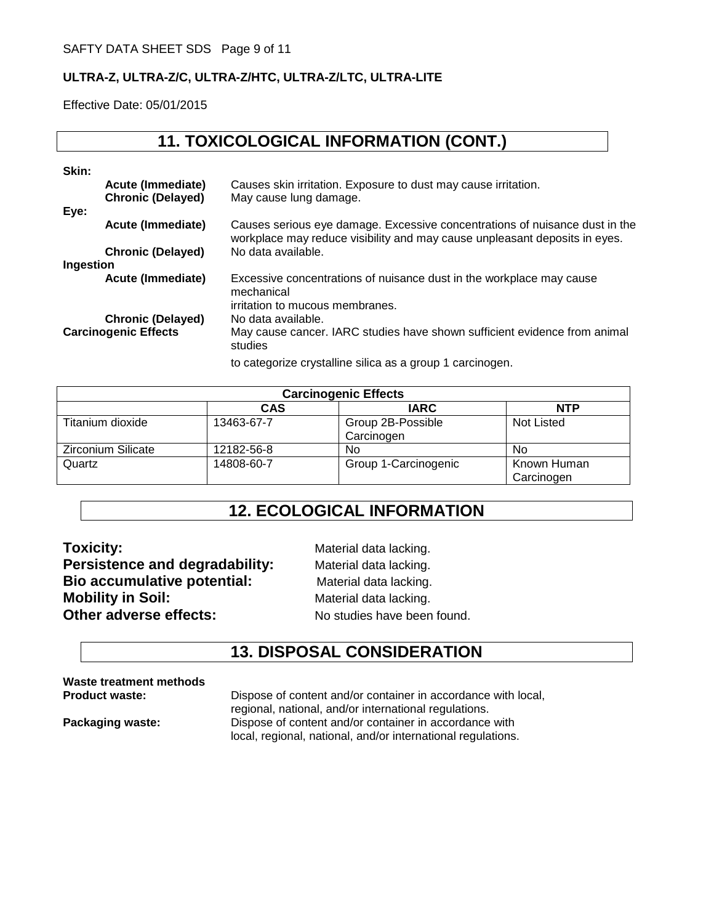Effective Date: 05/01/2015

# **11. TOXICOLOGICAL INFORMATION (CONT.)**

| Skin:     |                                                      |                                                                                                                                                           |
|-----------|------------------------------------------------------|-----------------------------------------------------------------------------------------------------------------------------------------------------------|
| Eye:      | <b>Acute (Immediate)</b><br><b>Chronic (Delayed)</b> | Causes skin irritation. Exposure to dust may cause irritation.<br>May cause lung damage.                                                                  |
|           | Acute (Immediate)                                    | Causes serious eye damage. Excessive concentrations of nuisance dust in the<br>workplace may reduce visibility and may cause unpleasant deposits in eyes. |
| Ingestion | <b>Chronic (Delayed)</b>                             | No data available.                                                                                                                                        |
|           | Acute (Immediate)                                    | Excessive concentrations of nuisance dust in the workplace may cause<br>mechanical                                                                        |
|           | <b>Chronic (Delayed)</b>                             | irritation to mucous membranes.<br>No data available.                                                                                                     |
|           | <b>Carcinogenic Effects</b>                          | May cause cancer. IARC studies have shown sufficient evidence from animal<br>studies                                                                      |
|           |                                                      | to categorize crystalline silica as a group 1 carcinogen.                                                                                                 |

| <b>Carcinogenic Effects</b> |            |                                 |                           |
|-----------------------------|------------|---------------------------------|---------------------------|
|                             | <b>CAS</b> | <b>IARC</b>                     | <b>NTP</b>                |
| Titanium dioxide            | 13463-67-7 | Group 2B-Possible<br>Carcinogen | <b>Not Listed</b>         |
| <b>Zirconium Silicate</b>   | 12182-56-8 | No                              | No                        |
| Quartz                      | 14808-60-7 | Group 1-Carcinogenic            | Known Human<br>Carcinogen |

# **12. ECOLOGICAL INFORMATION**

**Toxicity:** Material data lacking. **Persistence and degradability:** Material data lacking. **Bio accumulative potential:** Material data lacking. **Mobility in Soil:** Material data lacking. **Other adverse effects:** No studies have been found.

# **13. DISPOSAL CONSIDERATION**

**Waste treatment methods** 

**Pispose of content and/or container in accordance with local,** regional, national, and/or international regulations. **Packaging waste:** Dispose of content and/or container in accordance with local, regional, national, and/or international regulations.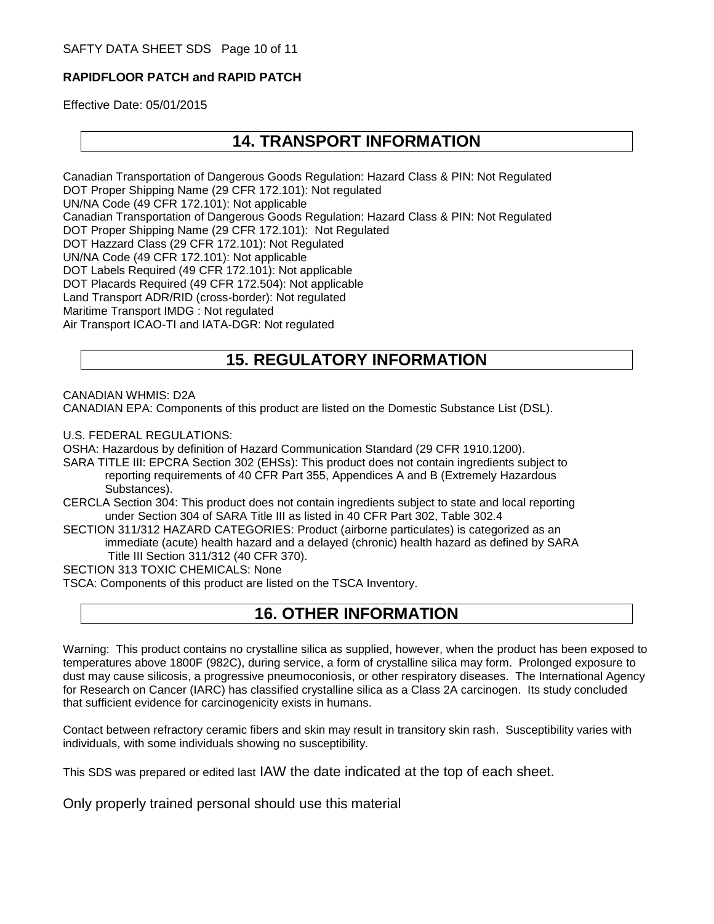### **RAPIDFLOOR PATCH and RAPID PATCH**

Effective Date: 05/01/2015

### **14. TRANSPORT INFORMATION**

Canadian Transportation of Dangerous Goods Regulation: Hazard Class & PIN: Not Regulated DOT Proper Shipping Name (29 CFR 172.101): Not regulated UN/NA Code (49 CFR 172.101): Not applicable Canadian Transportation of Dangerous Goods Regulation: Hazard Class & PIN: Not Regulated DOT Proper Shipping Name (29 CFR 172.101): Not Regulated DOT Hazzard Class (29 CFR 172.101): Not Regulated UN/NA Code (49 CFR 172.101): Not applicable DOT Labels Required (49 CFR 172.101): Not applicable DOT Placards Required (49 CFR 172.504): Not applicable Land Transport ADR/RID (cross-border): Not regulated Maritime Transport IMDG : Not regulated Air Transport ICAO-TI and IATA-DGR: Not regulated

# **15. REGULATORY INFORMATION**

CANADIAN WHMIS: D2A

CANADIAN EPA: Components of this product are listed on the Domestic Substance List (DSL).

U.S. FEDERAL REGULATIONS:

OSHA: Hazardous by definition of Hazard Communication Standard (29 CFR 1910.1200).

SARA TITLE III: EPCRA Section 302 (EHSs): This product does not contain ingredients subject to reporting requirements of 40 CFR Part 355, Appendices A and B (Extremely Hazardous Substances).

CERCLA Section 304: This product does not contain ingredients subject to state and local reporting under Section 304 of SARA Title III as listed in 40 CFR Part 302, Table 302.4

SECTION 311/312 HAZARD CATEGORIES: Product (airborne particulates) is categorized as an immediate (acute) health hazard and a delayed (chronic) health hazard as defined by SARA Title III Section 311/312 (40 CFR 370).

SECTION 313 TOXIC CHEMICALS: None

TSCA: Components of this product are listed on the TSCA Inventory.

### **16. OTHER INFORMATION**

Warning: This product contains no crystalline silica as supplied, however, when the product has been exposed to temperatures above 1800F (982C), during service, a form of crystalline silica may form. Prolonged exposure to dust may cause silicosis, a progressive pneumoconiosis, or other respiratory diseases. The International Agency for Research on Cancer (IARC) has classified crystalline silica as a Class 2A carcinogen. Its study concluded that sufficient evidence for carcinogenicity exists in humans.

Contact between refractory ceramic fibers and skin may result in transitory skin rash. Susceptibility varies with individuals, with some individuals showing no susceptibility.

This SDS was prepared or edited last IAW the date indicated at the top of each sheet.

Only properly trained personal should use this material